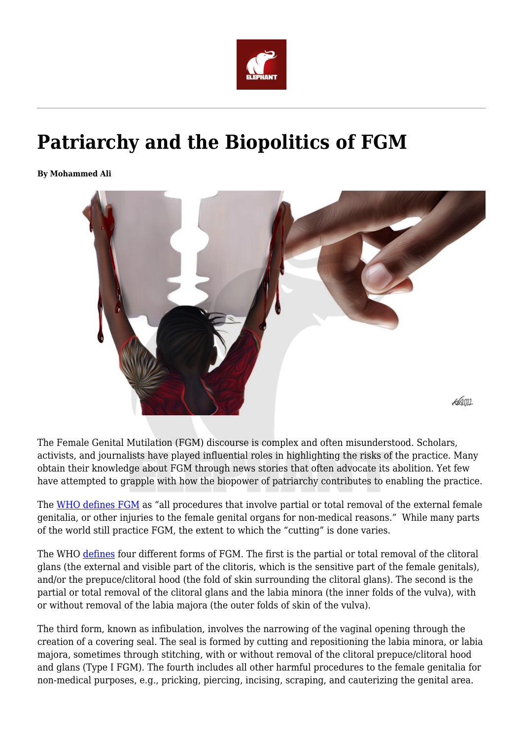

## **Patriarchy and the Biopolitics of FGM**

**By Mohammed Ali**



The Female Genital Mutilation (FGM) discourse is complex and often misunderstood. Scholars, activists, and journalists have played influential roles in highlighting the risks of the practice. Many obtain their knowledge about FGM through news stories that often advocate its abolition. Yet few have attempted to grapple with how the biopower of patriarchy contributes to enabling the practice.

The [WHO defines FGM](https://www.who.int/news-room/fact-sheets/detail/female-genital-mutilation) as "all procedures that involve partial or total removal of the external female genitalia, or other injuries to the female genital organs for non-medical reasons." While many parts of the world still practice FGM, the extent to which the "cutting" is done varies.

The WHO [defines](https://www.who.int/news-room/fact-sheets/detail/female-genital-mutilation) four different forms of FGM. The first is the partial or total removal of the clitoral glans (the external and visible part of the clitoris, which is the sensitive part of the female genitals), and/or the prepuce/clitoral hood (the fold of skin surrounding the clitoral glans). The second is the partial or total removal of the clitoral glans and the labia minora (the inner folds of the vulva), with or without removal of the labia majora (the outer folds of skin of the vulva).

The third form, known as infibulation, involves the narrowing of the vaginal opening through the creation of a covering seal. The seal is formed by cutting and repositioning the labia minora, or labia majora, sometimes through stitching, with or without removal of the clitoral prepuce/clitoral hood and glans (Type I FGM). The fourth includes all other harmful procedures to the female genitalia for non-medical purposes, e.g., pricking, piercing, incising, scraping, and cauterizing the genital area.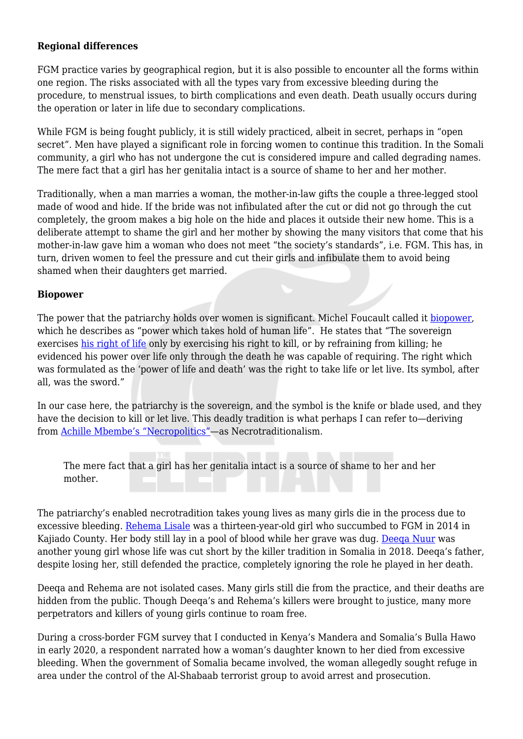## **Regional differences**

FGM practice varies by geographical region, but it is also possible to encounter all the forms within one region. The risks associated with all the types vary from excessive bleeding during the procedure, to menstrual issues, to birth complications and even death. Death usually occurs during the operation or later in life due to secondary complications.

While FGM is being fought publicly, it is still widely practiced, albeit in secret, perhaps in "open secret". Men have played a significant role in forcing women to continue this tradition. In the Somali community, a girl who has not undergone the cut is considered impure and called degrading names. The mere fact that a girl has her genitalia intact is a source of shame to her and her mother.

Traditionally, when a man marries a woman, the mother-in-law gifts the couple a three-legged stool made of wood and hide. If the bride was not infibulated after the cut or did not go through the cut completely, the groom makes a big hole on the hide and places it outside their new home. This is a deliberate attempt to shame the girl and her mother by showing the many visitors that come that his mother-in-law gave him a woman who does not meet "the society's standards", i.e. FGM. This has, in turn, driven women to feel the pressure and cut their girls and infibulate them to avoid being shamed when their daughters get married.

## **Biopower**

The power that the patriarchy holds over women is significant. Michel Foucault called it [biopower,](https://www.cambridge.org/core/books/abs/michel-foucault/biopower/85C7F89FBE79EC7EBD509C71FD2955B3) which he describes as "power which takes hold of human life". He states that "The sovereign exercises [his right of life](https://www.diplomatie.gouv.fr/IMG/pdf/0202-Delfour-GB-2.pdf) only by exercising his right to kill, or by refraining from killing; he evidenced his power over life only through the death he was capable of requiring. The right which was formulated as the 'power of life and death' was the right to take life or let live. Its symbol, after all, was the sword."

In our case here, the patriarchy is the sovereign, and the symbol is the knife or blade used, and they have the decision to kill or let live. This deadly tradition is what perhaps I can refer to—deriving from [Achille Mbembe's "Necropolitics"](https://criticallegalthinking.com/2020/03/02/achille-mbembe-necropolitics/)—as Necrotraditionalism.

The mere fact that a girl has her genitalia intact is a source of shame to her and her mother.

The patriarchy's enabled necrotradition takes young lives as many girls die in the process due to excessive bleeding. [Rehema Lisale](https://news.trust.org/item/20140423144006-gr2tf/) was a thirteen-year-old girl who succumbed to FGM in 2014 in Kajiado County. Her body still lay in a pool of blood while her grave was dug. Deega Nuur was another young girl whose life was cut short by the killer tradition in Somalia in 2018. Deeqa's father, despite losing her, still defended the practice, completely ignoring the role he played in her death.

Deeqa and Rehema are not isolated cases. Many girls still die from the practice, and their deaths are hidden from the public. Though Deega's and Rehema's killers were brought to justice, many more perpetrators and killers of young girls continue to roam free.

During a cross-border FGM survey that I conducted in Kenya's Mandera and Somalia's Bulla Hawo in early 2020, a respondent narrated how a woman's daughter known to her died from excessive bleeding. When the government of Somalia became involved, the woman allegedly sought refuge in area under the control of the Al-Shabaab terrorist group to avoid arrest and prosecution.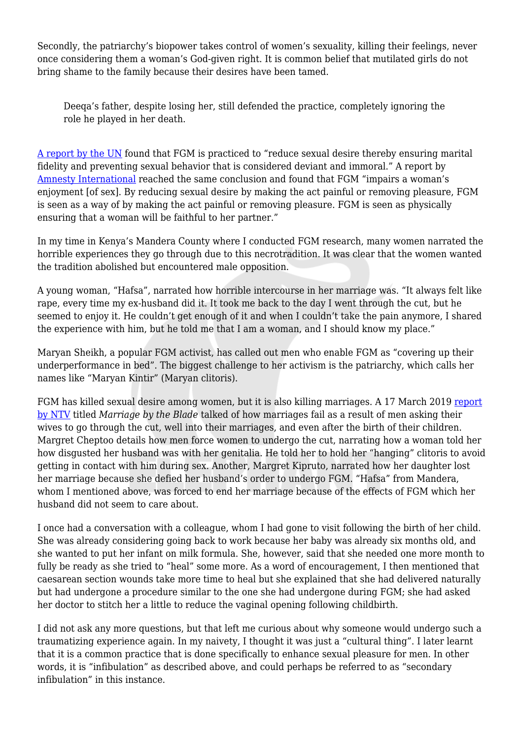Secondly, the patriarchy's biopower takes control of women's sexuality, killing their feelings, never once considering them a woman's God-given right. It is common belief that mutilated girls do not bring shame to the family because their desires have been tamed.

Deeqa's father, despite losing her, still defended the practice, completely ignoring the role he played in her death.

[A report by the UN](https://www.un.org/womenwatch/daw/csw/csw52/statements_missions/Interagency_Statement_on_Eliminating_FGM.pdf) found that FGM is practiced to "reduce sexual desire thereby ensuring marital fidelity and preventing sexual behavior that is considered deviant and immoral." A report by [Amnesty International](https://www.amnesty.org/en/wp-content/uploads/2021/06/act770051997en.pdf) reached the same conclusion and found that FGM "impairs a woman's enjoyment [of sex]. By reducing sexual desire by making the act painful or removing pleasure, FGM is seen as a way of by making the act painful or removing pleasure. FGM is seen as physically ensuring that a woman will be faithful to her partner."

In my time in Kenya's Mandera County where I conducted FGM research, many women narrated the horrible experiences they go through due to this necrotradition. It was clear that the women wanted the tradition abolished but encountered male opposition.

A young woman, "Hafsa", narrated how horrible intercourse in her marriage was. "It always felt like rape, every time my ex-husband did it. It took me back to the day I went through the cut, but he seemed to enjoy it. He couldn't get enough of it and when I couldn't take the pain anymore, I shared the experience with him, but he told me that I am a woman, and I should know my place."

Maryan Sheikh, a popular FGM activist, has called out men who enable FGM as "covering up their underperformance in bed". The biggest challenge to her activism is the patriarchy, which calls her names like "Maryan Kintir" (Maryan clitoris).

FGM has killed sexual desire among women, but it is also killing marriages. A 17 March 2019 [report](https://www.youtube.com/watch?v=Nir87r8MMmc) [by NTV](https://www.youtube.com/watch?v=Nir87r8MMmc) titled *Marriage by the Blade* talked of how marriages fail as a result of men asking their wives to go through the cut, well into their marriages, and even after the birth of their children. Margret Cheptoo details how men force women to undergo the cut, narrating how a woman told her how disgusted her husband was with her genitalia. He told her to hold her "hanging" clitoris to avoid getting in contact with him during sex. Another, Margret Kipruto, narrated how her daughter lost her marriage because she defied her husband's order to undergo FGM. "Hafsa" from Mandera, whom I mentioned above, was forced to end her marriage because of the effects of FGM which her husband did not seem to care about.

I once had a conversation with a colleague, whom I had gone to visit following the birth of her child. She was already considering going back to work because her baby was already six months old, and she wanted to put her infant on milk formula. She, however, said that she needed one more month to fully be ready as she tried to "heal" some more. As a word of encouragement, I then mentioned that caesarean section wounds take more time to heal but she explained that she had delivered naturally but had undergone a procedure similar to the one she had undergone during FGM; she had asked her doctor to stitch her a little to reduce the vaginal opening following childbirth.

I did not ask any more questions, but that left me curious about why someone would undergo such a traumatizing experience again. In my naivety, I thought it was just a "cultural thing". I later learnt that it is a common practice that is done specifically to enhance sexual pleasure for men. In other words, it is "infibulation" as described above, and could perhaps be referred to as "secondary infibulation" in this instance.